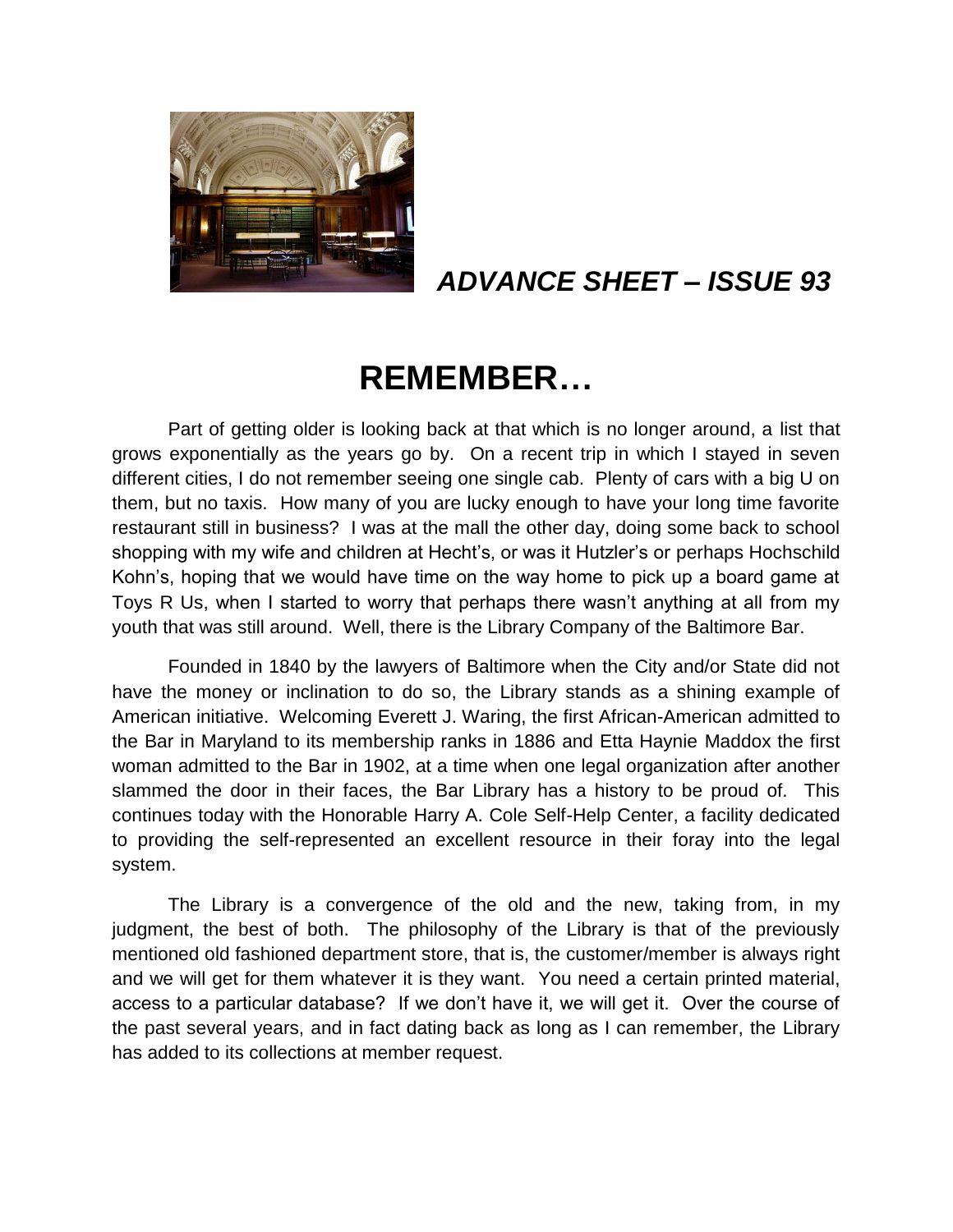

# *ADVANCE SHEET – ISSUE 93*

# **REMEMBER…**

Part of getting older is looking back at that which is no longer around, a list that grows exponentially as the years go by. On a recent trip in which I stayed in seven different cities, I do not remember seeing one single cab. Plenty of cars with a big U on them, but no taxis. How many of you are lucky enough to have your long time favorite restaurant still in business? I was at the mall the other day, doing some back to school shopping with my wife and children at Hecht's, or was it Hutzler's or perhaps Hochschild Kohn's, hoping that we would have time on the way home to pick up a board game at Toys R Us, when I started to worry that perhaps there wasn't anything at all from my youth that was still around. Well, there is the Library Company of the Baltimore Bar.

Founded in 1840 by the lawyers of Baltimore when the City and/or State did not have the money or inclination to do so, the Library stands as a shining example of American initiative. Welcoming Everett J. Waring, the first African-American admitted to the Bar in Maryland to its membership ranks in 1886 and Etta Haynie Maddox the first woman admitted to the Bar in 1902, at a time when one legal organization after another slammed the door in their faces, the Bar Library has a history to be proud of. This continues today with the Honorable Harry A. Cole Self-Help Center, a facility dedicated to providing the self-represented an excellent resource in their foray into the legal system.

The Library is a convergence of the old and the new, taking from, in my judgment, the best of both. The philosophy of the Library is that of the previously mentioned old fashioned department store, that is, the customer/member is always right and we will get for them whatever it is they want. You need a certain printed material, access to a particular database? If we don't have it, we will get it. Over the course of the past several years, and in fact dating back as long as I can remember, the Library has added to its collections at member request.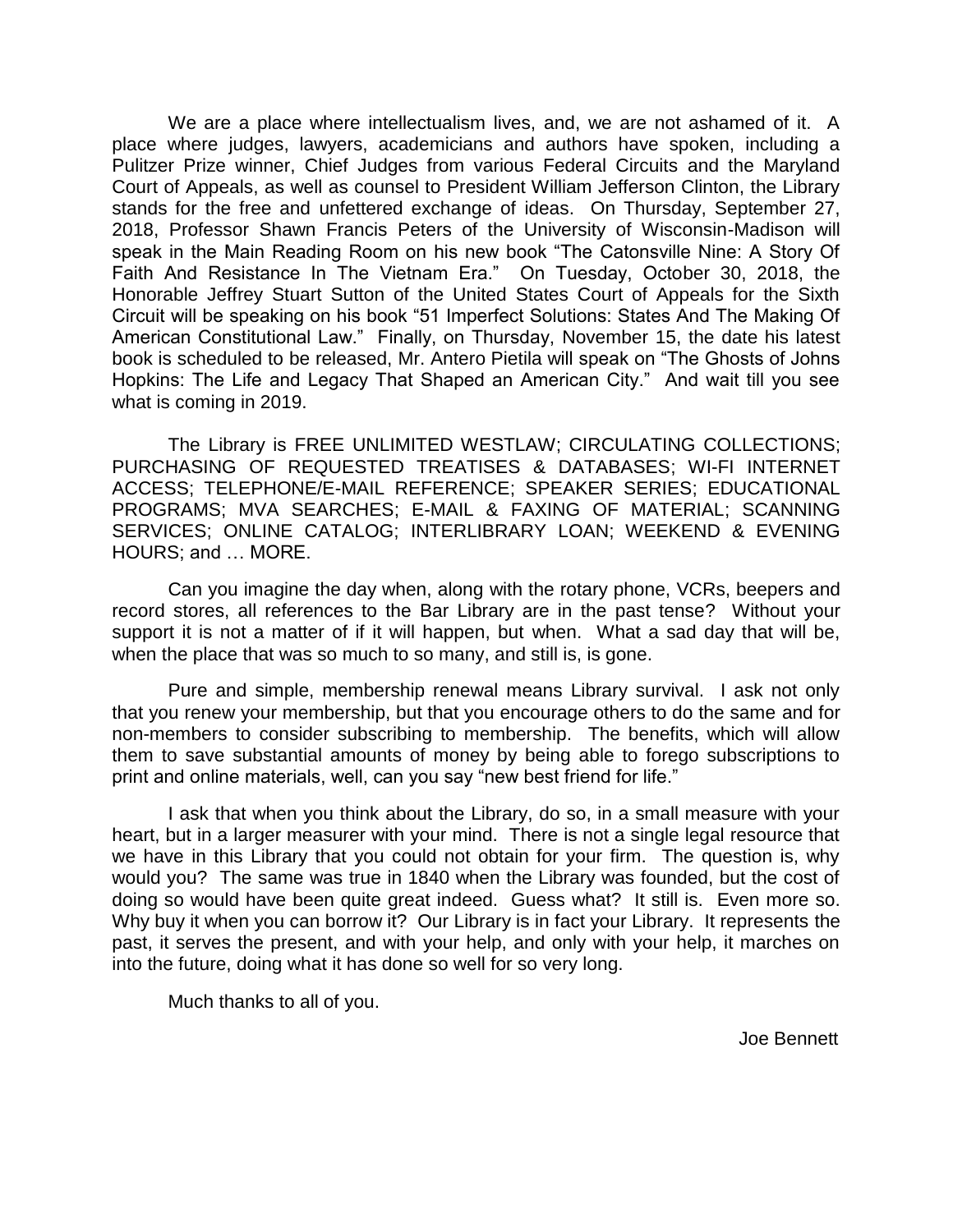We are a place where intellectualism lives, and, we are not ashamed of it. A place where judges, lawyers, academicians and authors have spoken, including a Pulitzer Prize winner, Chief Judges from various Federal Circuits and the Maryland Court of Appeals, as well as counsel to President William Jefferson Clinton, the Library stands for the free and unfettered exchange of ideas. On Thursday, September 27, 2018, Professor Shawn Francis Peters of the University of Wisconsin-Madison will speak in the Main Reading Room on his new book "The Catonsville Nine: A Story Of Faith And Resistance In The Vietnam Era." On Tuesday, October 30, 2018, the Honorable Jeffrey Stuart Sutton of the United States Court of Appeals for the Sixth Circuit will be speaking on his book "51 Imperfect Solutions: States And The Making Of American Constitutional Law." Finally, on Thursday, November 15, the date his latest book is scheduled to be released, Mr. Antero Pietila will speak on "The Ghosts of Johns Hopkins: The Life and Legacy That Shaped an American City." And wait till you see what is coming in 2019.

The Library is FREE UNLIMITED WESTLAW; CIRCULATING COLLECTIONS; PURCHASING OF REQUESTED TREATISES & DATABASES; WI-FI INTERNET ACCESS; TELEPHONE/E-MAIL REFERENCE; SPEAKER SERIES; EDUCATIONAL PROGRAMS; MVA SEARCHES; E-MAIL & FAXING OF MATERIAL; SCANNING SERVICES; ONLINE CATALOG; INTERLIBRARY LOAN; WEEKEND & EVENING HOURS; and … MORE.

Can you imagine the day when, along with the rotary phone, VCRs, beepers and record stores, all references to the Bar Library are in the past tense? Without your support it is not a matter of if it will happen, but when. What a sad day that will be, when the place that was so much to so many, and still is, is gone.

Pure and simple, membership renewal means Library survival. I ask not only that you renew your membership, but that you encourage others to do the same and for non-members to consider subscribing to membership. The benefits, which will allow them to save substantial amounts of money by being able to forego subscriptions to print and online materials, well, can you say "new best friend for life."

I ask that when you think about the Library, do so, in a small measure with your heart, but in a larger measurer with your mind. There is not a single legal resource that we have in this Library that you could not obtain for your firm. The question is, why would you? The same was true in 1840 when the Library was founded, but the cost of doing so would have been quite great indeed. Guess what? It still is. Even more so. Why buy it when you can borrow it? Our Library is in fact your Library. It represents the past, it serves the present, and with your help, and only with your help, it marches on into the future, doing what it has done so well for so very long.

Much thanks to all of you.

Joe Bennett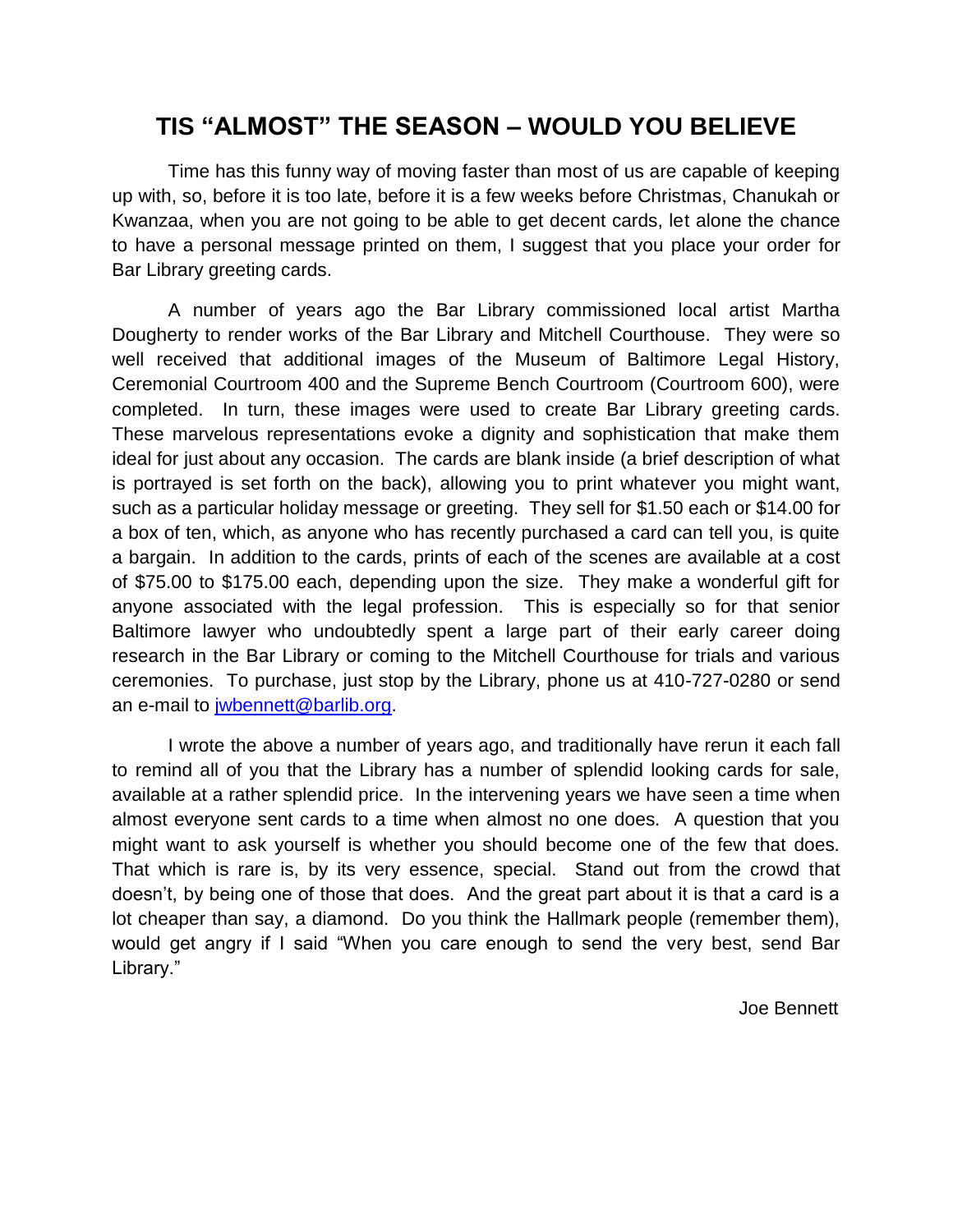# **TIS "ALMOST" THE SEASON – WOULD YOU BELIEVE**

Time has this funny way of moving faster than most of us are capable of keeping up with, so, before it is too late, before it is a few weeks before Christmas, Chanukah or Kwanzaa, when you are not going to be able to get decent cards, let alone the chance to have a personal message printed on them, I suggest that you place your order for Bar Library greeting cards.

A number of years ago the Bar Library commissioned local artist Martha Dougherty to render works of the Bar Library and Mitchell Courthouse. They were so well received that additional images of the Museum of Baltimore Legal History, Ceremonial Courtroom 400 and the Supreme Bench Courtroom (Courtroom 600), were completed. In turn, these images were used to create Bar Library greeting cards. These marvelous representations evoke a dignity and sophistication that make them ideal for just about any occasion. The cards are blank inside (a brief description of what is portrayed is set forth on the back), allowing you to print whatever you might want, such as a particular holiday message or greeting. They sell for \$1.50 each or \$14.00 for a box of ten, which, as anyone who has recently purchased a card can tell you, is quite a bargain. In addition to the cards, prints of each of the scenes are available at a cost of \$75.00 to \$175.00 each, depending upon the size. They make a wonderful gift for anyone associated with the legal profession. This is especially so for that senior Baltimore lawyer who undoubtedly spent a large part of their early career doing research in the Bar Library or coming to the Mitchell Courthouse for trials and various ceremonies. To purchase, just stop by the Library, phone us at 410-727-0280 or send an e-mail to [jwbennett@barlib.org.](mailto:jwbennett@barlib.org)

I wrote the above a number of years ago, and traditionally have rerun it each fall to remind all of you that the Library has a number of splendid looking cards for sale, available at a rather splendid price. In the intervening years we have seen a time when almost everyone sent cards to a time when almost no one does. A question that you might want to ask yourself is whether you should become one of the few that does. That which is rare is, by its very essence, special. Stand out from the crowd that doesn't, by being one of those that does. And the great part about it is that a card is a lot cheaper than say, a diamond. Do you think the Hallmark people (remember them), would get angry if I said "When you care enough to send the very best, send Bar Library."

Joe Bennett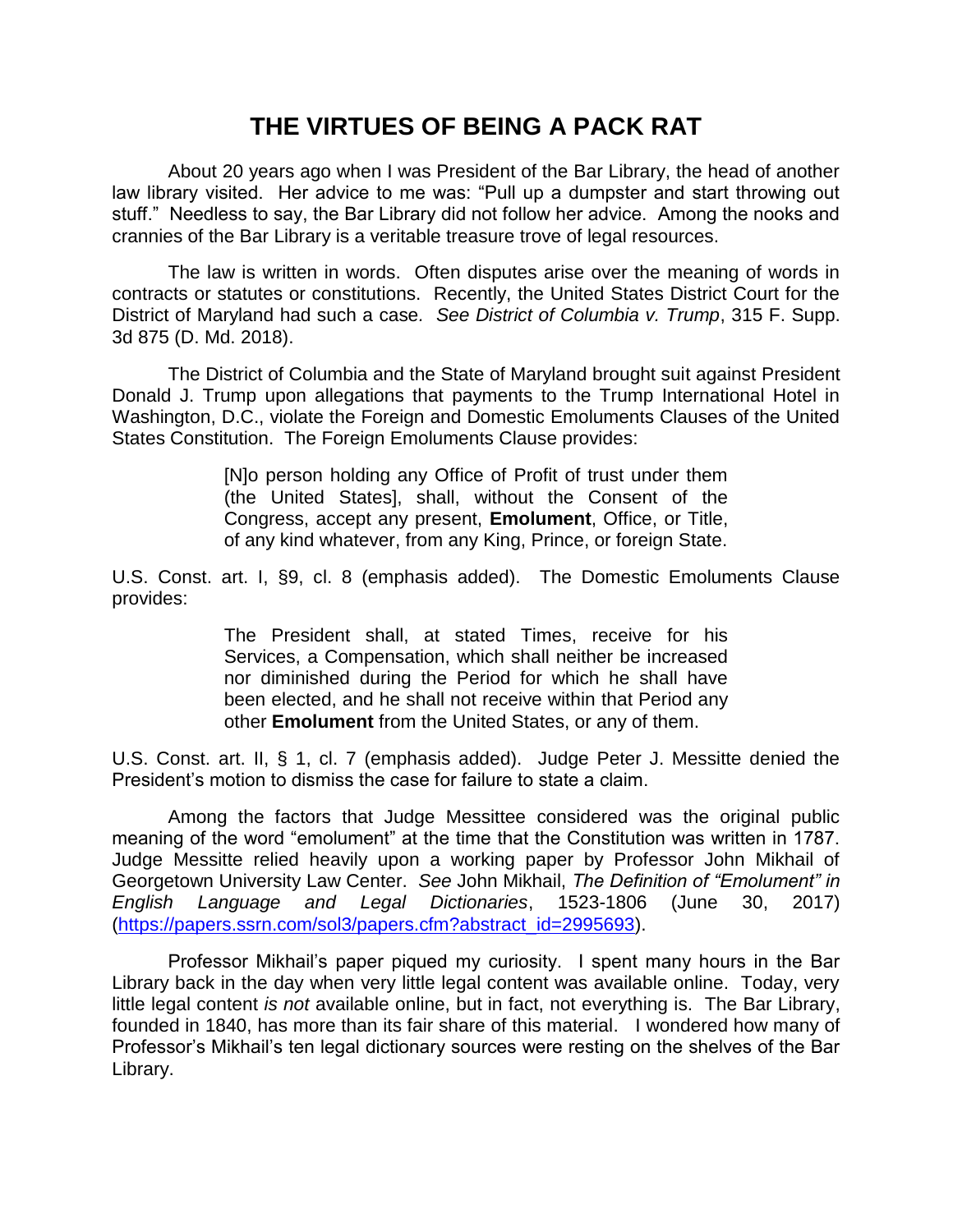# **THE VIRTUES OF BEING A PACK RAT**

About 20 years ago when I was President of the Bar Library, the head of another law library visited. Her advice to me was: "Pull up a dumpster and start throwing out stuff." Needless to say, the Bar Library did not follow her advice. Among the nooks and crannies of the Bar Library is a veritable treasure trove of legal resources.

The law is written in words. Often disputes arise over the meaning of words in contracts or statutes or constitutions. Recently, the United States District Court for the District of Maryland had such a case*. See District of Columbia v. Trump*, 315 F. Supp. 3d 875 (D. Md. 2018).

The District of Columbia and the State of Maryland brought suit against President Donald J. Trump upon allegations that payments to the Trump International Hotel in Washington, D.C., violate the Foreign and Domestic Emoluments Clauses of the United States Constitution. The Foreign Emoluments Clause provides:

> [N]o person holding any Office of Profit of trust under them (the United States], shall, without the Consent of the Congress, accept any present, **Emolument**, Office, or Title, of any kind whatever, from any King, Prince, or foreign State.

U.S. Const. art. I, §9, cl. 8 (emphasis added). The Domestic Emoluments Clause provides:

> The President shall, at stated Times, receive for his Services, a Compensation, which shall neither be increased nor diminished during the Period for which he shall have been elected, and he shall not receive within that Period any other **Emolument** from the United States, or any of them.

U.S. Const. art. II, § 1, cl. 7 (emphasis added). Judge Peter J. Messitte denied the President's motion to dismiss the case for failure to state a claim.

Among the factors that Judge Messittee considered was the original public meaning of the word "emolument" at the time that the Constitution was written in 1787. Judge Messitte relied heavily upon a working paper by Professor John Mikhail of Georgetown University Law Center. *See* John Mikhail, *The Definition of "Emolument" in English Language and Legal Dictionaries*, 1523-1806 (June 30, 2017) [\(https://papers.ssrn.com/sol3/papers.cfm?abstract\\_id=2995693\)](https://papers.ssrn.com/sol3/papers.cfm?abstract_id=2995693).

Professor Mikhail's paper piqued my curiosity. I spent many hours in the Bar Library back in the day when very little legal content was available online. Today, very little legal content *is not* available online, but in fact, not everything is. The Bar Library, founded in 1840, has more than its fair share of this material. I wondered how many of Professor's Mikhail's ten legal dictionary sources were resting on the shelves of the Bar Library.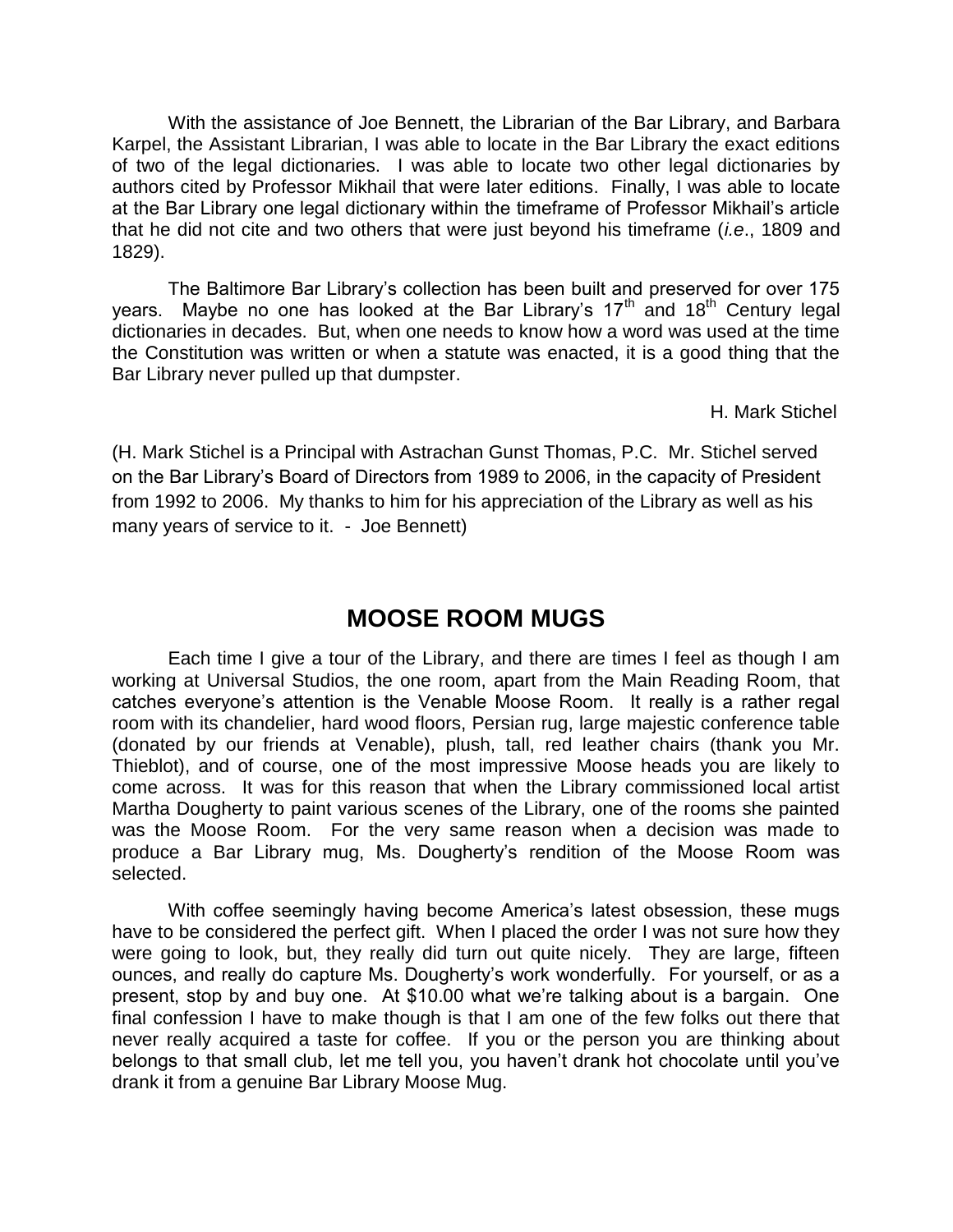With the assistance of Joe Bennett, the Librarian of the Bar Library, and Barbara Karpel, the Assistant Librarian, I was able to locate in the Bar Library the exact editions of two of the legal dictionaries. I was able to locate two other legal dictionaries by authors cited by Professor Mikhail that were later editions. Finally, I was able to locate at the Bar Library one legal dictionary within the timeframe of Professor Mikhail's article that he did not cite and two others that were just beyond his timeframe (*i.e*., 1809 and 1829).

The Baltimore Bar Library's collection has been built and preserved for over 175 years. Maybe no one has looked at the Bar Library's  $17<sup>th</sup>$  and  $18<sup>th</sup>$  Century legal dictionaries in decades. But, when one needs to know how a word was used at the time the Constitution was written or when a statute was enacted, it is a good thing that the Bar Library never pulled up that dumpster.

H. Mark Stichel

(H. Mark Stichel is a Principal with Astrachan Gunst Thomas, P.C. Mr. Stichel served on the Bar Library's Board of Directors from 1989 to 2006, in the capacity of President from 1992 to 2006. My thanks to him for his appreciation of the Library as well as his many years of service to it. - Joe Bennett)

# **MOOSE ROOM MUGS**

Each time I give a tour of the Library, and there are times I feel as though I am working at Universal Studios, the one room, apart from the Main Reading Room, that catches everyone's attention is the Venable Moose Room. It really is a rather regal room with its chandelier, hard wood floors, Persian rug, large majestic conference table (donated by our friends at Venable), plush, tall, red leather chairs (thank you Mr. Thieblot), and of course, one of the most impressive Moose heads you are likely to come across. It was for this reason that when the Library commissioned local artist Martha Dougherty to paint various scenes of the Library, one of the rooms she painted was the Moose Room. For the very same reason when a decision was made to produce a Bar Library mug, Ms. Dougherty's rendition of the Moose Room was selected.

With coffee seemingly having become America's latest obsession, these mugs have to be considered the perfect gift. When I placed the order I was not sure how they were going to look, but, they really did turn out quite nicely. They are large, fifteen ounces, and really do capture Ms. Dougherty's work wonderfully. For yourself, or as a present, stop by and buy one. At \$10.00 what we're talking about is a bargain. One final confession I have to make though is that I am one of the few folks out there that never really acquired a taste for coffee. If you or the person you are thinking about belongs to that small club, let me tell you, you haven't drank hot chocolate until you've drank it from a genuine Bar Library Moose Mug.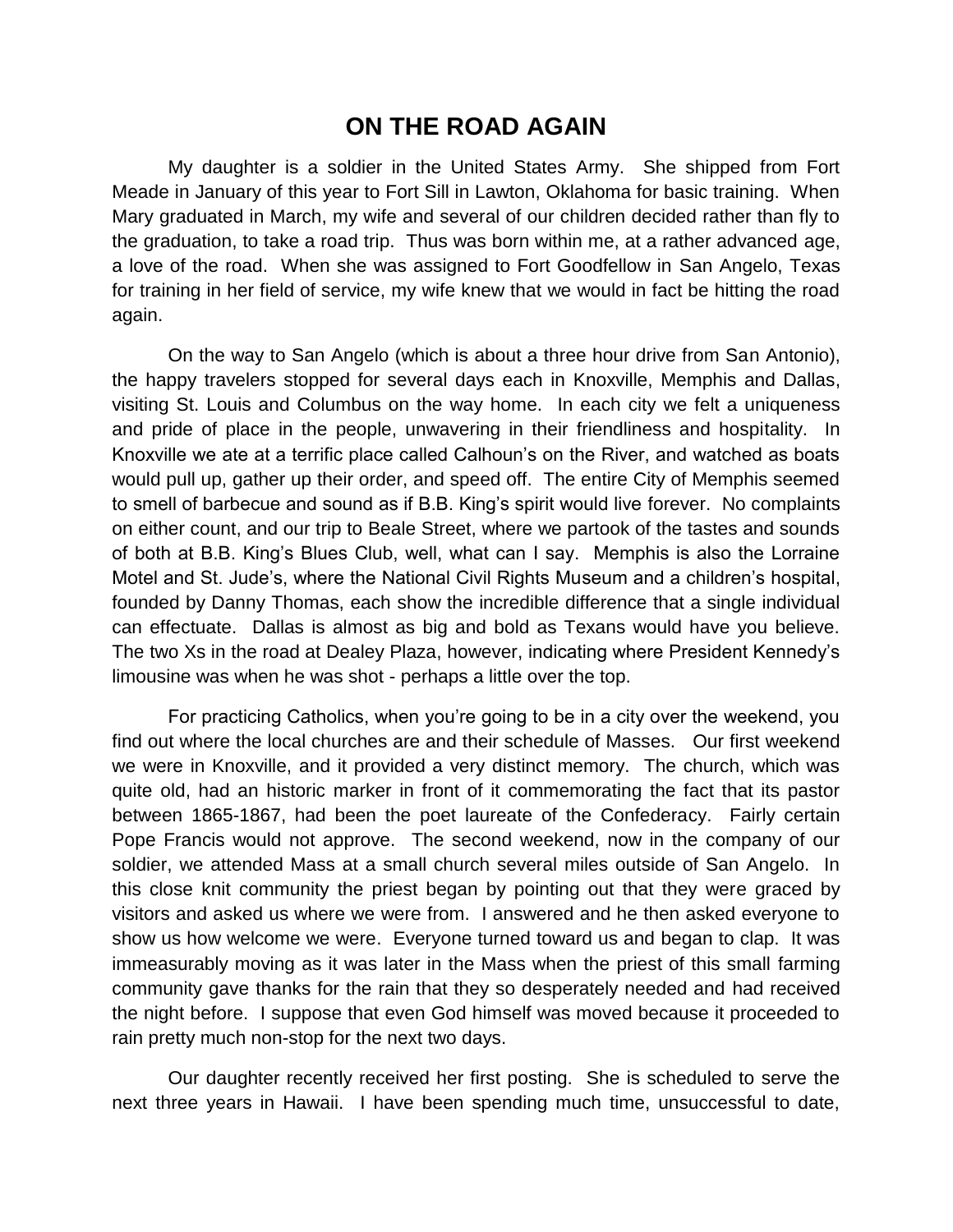### **ON THE ROAD AGAIN**

My daughter is a soldier in the United States Army. She shipped from Fort Meade in January of this year to Fort Sill in Lawton, Oklahoma for basic training. When Mary graduated in March, my wife and several of our children decided rather than fly to the graduation, to take a road trip. Thus was born within me, at a rather advanced age, a love of the road. When she was assigned to Fort Goodfellow in San Angelo, Texas for training in her field of service, my wife knew that we would in fact be hitting the road again.

On the way to San Angelo (which is about a three hour drive from San Antonio), the happy travelers stopped for several days each in Knoxville, Memphis and Dallas, visiting St. Louis and Columbus on the way home. In each city we felt a uniqueness and pride of place in the people, unwavering in their friendliness and hospitality. In Knoxville we ate at a terrific place called Calhoun's on the River, and watched as boats would pull up, gather up their order, and speed off. The entire City of Memphis seemed to smell of barbecue and sound as if B.B. King's spirit would live forever. No complaints on either count, and our trip to Beale Street, where we partook of the tastes and sounds of both at B.B. King's Blues Club, well, what can I say. Memphis is also the Lorraine Motel and St. Jude's, where the National Civil Rights Museum and a children's hospital, founded by Danny Thomas, each show the incredible difference that a single individual can effectuate. Dallas is almost as big and bold as Texans would have you believe. The two Xs in the road at Dealey Plaza, however, indicating where President Kennedy's limousine was when he was shot - perhaps a little over the top.

For practicing Catholics, when you're going to be in a city over the weekend, you find out where the local churches are and their schedule of Masses. Our first weekend we were in Knoxville, and it provided a very distinct memory. The church, which was quite old, had an historic marker in front of it commemorating the fact that its pastor between 1865-1867, had been the poet laureate of the Confederacy. Fairly certain Pope Francis would not approve. The second weekend, now in the company of our soldier, we attended Mass at a small church several miles outside of San Angelo. In this close knit community the priest began by pointing out that they were graced by visitors and asked us where we were from. I answered and he then asked everyone to show us how welcome we were. Everyone turned toward us and began to clap. It was immeasurably moving as it was later in the Mass when the priest of this small farming community gave thanks for the rain that they so desperately needed and had received the night before. I suppose that even God himself was moved because it proceeded to rain pretty much non-stop for the next two days.

Our daughter recently received her first posting. She is scheduled to serve the next three years in Hawaii. I have been spending much time, unsuccessful to date,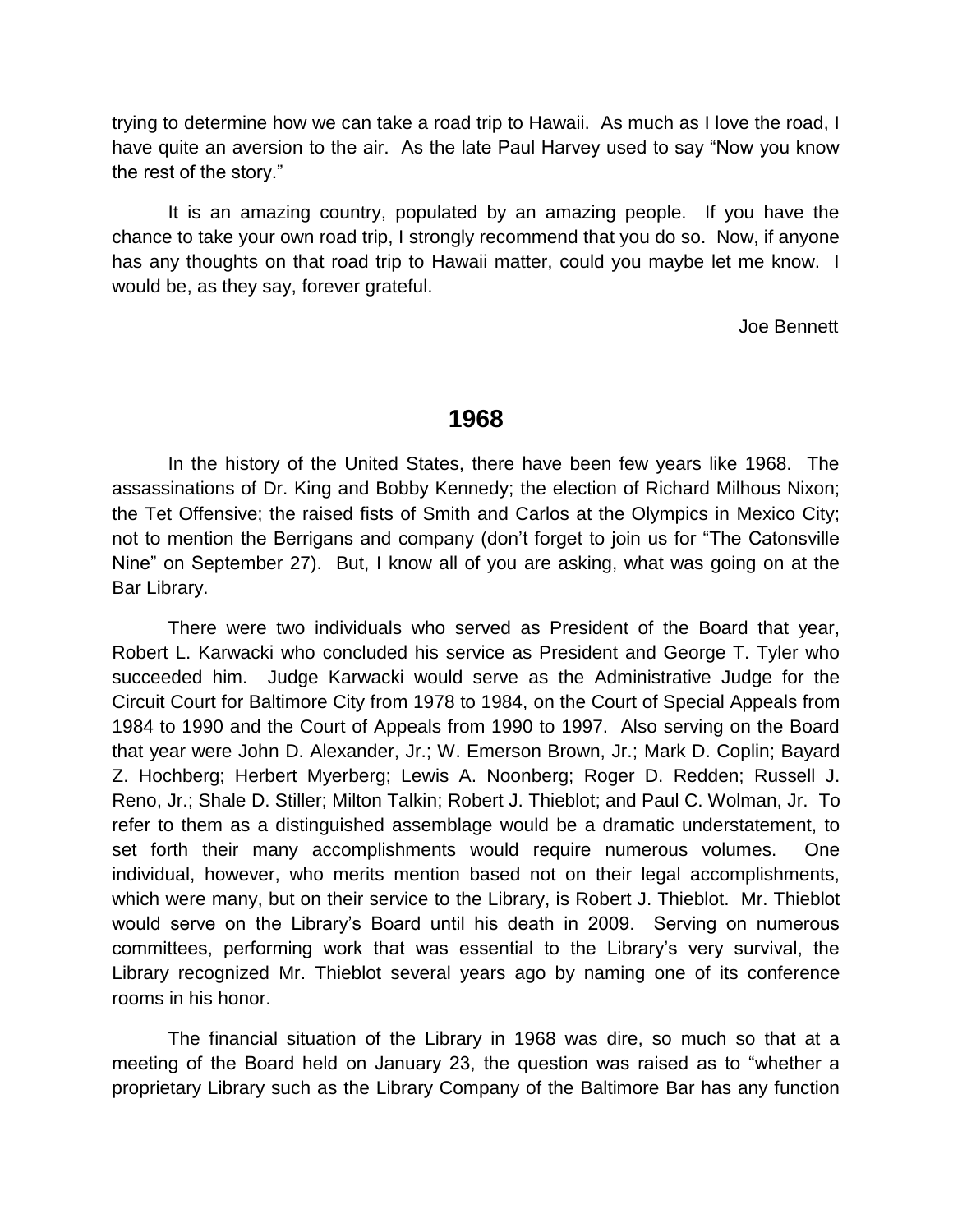trying to determine how we can take a road trip to Hawaii. As much as I love the road, I have quite an aversion to the air. As the late Paul Harvey used to say "Now you know the rest of the story."

It is an amazing country, populated by an amazing people. If you have the chance to take your own road trip, I strongly recommend that you do so. Now, if anyone has any thoughts on that road trip to Hawaii matter, could you maybe let me know. I would be, as they say, forever grateful.

Joe Bennett

### **1968**

In the history of the United States, there have been few years like 1968. The assassinations of Dr. King and Bobby Kennedy; the election of Richard Milhous Nixon; the Tet Offensive; the raised fists of Smith and Carlos at the Olympics in Mexico City; not to mention the Berrigans and company (don't forget to join us for "The Catonsville Nine" on September 27). But, I know all of you are asking, what was going on at the Bar Library.

There were two individuals who served as President of the Board that year, Robert L. Karwacki who concluded his service as President and George T. Tyler who succeeded him. Judge Karwacki would serve as the Administrative Judge for the Circuit Court for Baltimore City from 1978 to 1984, on the Court of Special Appeals from 1984 to 1990 and the Court of Appeals from 1990 to 1997. Also serving on the Board that year were John D. Alexander, Jr.; W. Emerson Brown, Jr.; Mark D. Coplin; Bayard Z. Hochberg; Herbert Myerberg; Lewis A. Noonberg; Roger D. Redden; Russell J. Reno, Jr.; Shale D. Stiller; Milton Talkin; Robert J. Thieblot; and Paul C. Wolman, Jr. To refer to them as a distinguished assemblage would be a dramatic understatement, to set forth their many accomplishments would require numerous volumes. One individual, however, who merits mention based not on their legal accomplishments, which were many, but on their service to the Library, is Robert J. Thieblot. Mr. Thieblot would serve on the Library's Board until his death in 2009. Serving on numerous committees, performing work that was essential to the Library's very survival, the Library recognized Mr. Thieblot several years ago by naming one of its conference rooms in his honor.

The financial situation of the Library in 1968 was dire, so much so that at a meeting of the Board held on January 23, the question was raised as to "whether a proprietary Library such as the Library Company of the Baltimore Bar has any function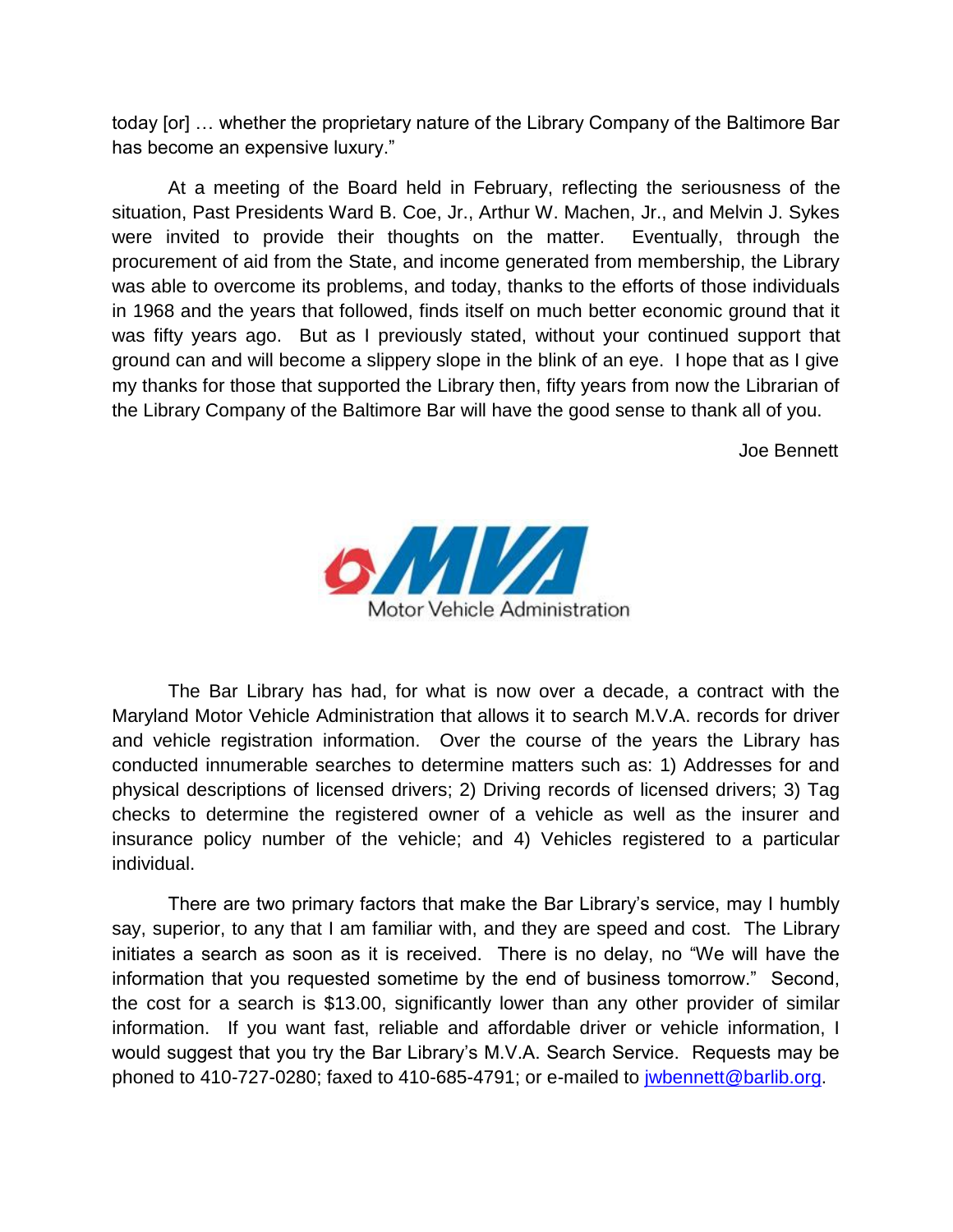today [or] … whether the proprietary nature of the Library Company of the Baltimore Bar has become an expensive luxury."

At a meeting of the Board held in February, reflecting the seriousness of the situation, Past Presidents Ward B. Coe, Jr., Arthur W. Machen, Jr., and Melvin J. Sykes were invited to provide their thoughts on the matter. Eventually, through the procurement of aid from the State, and income generated from membership, the Library was able to overcome its problems, and today, thanks to the efforts of those individuals in 1968 and the years that followed, finds itself on much better economic ground that it was fifty years ago. But as I previously stated, without your continued support that ground can and will become a slippery slope in the blink of an eye. I hope that as I give my thanks for those that supported the Library then, fifty years from now the Librarian of the Library Company of the Baltimore Bar will have the good sense to thank all of you.

Joe Bennett



The Bar Library has had, for what is now over a decade, a contract with the Maryland Motor Vehicle Administration that allows it to search M.V.A. records for driver and vehicle registration information. Over the course of the years the Library has conducted innumerable searches to determine matters such as: 1) Addresses for and physical descriptions of licensed drivers; 2) Driving records of licensed drivers; 3) Tag checks to determine the registered owner of a vehicle as well as the insurer and insurance policy number of the vehicle; and 4) Vehicles registered to a particular individual.

There are two primary factors that make the Bar Library's service, may I humbly say, superior, to any that I am familiar with, and they are speed and cost. The Library initiates a search as soon as it is received. There is no delay, no "We will have the information that you requested sometime by the end of business tomorrow." Second, the cost for a search is \$13.00, significantly lower than any other provider of similar information. If you want fast, reliable and affordable driver or vehicle information, I would suggest that you try the Bar Library's M.V.A. Search Service. Requests may be phoned to 410-727-0280; faxed to 410-685-4791; or e-mailed to [jwbennett@barlib.org.](mailto:jwbennett@barlib.org)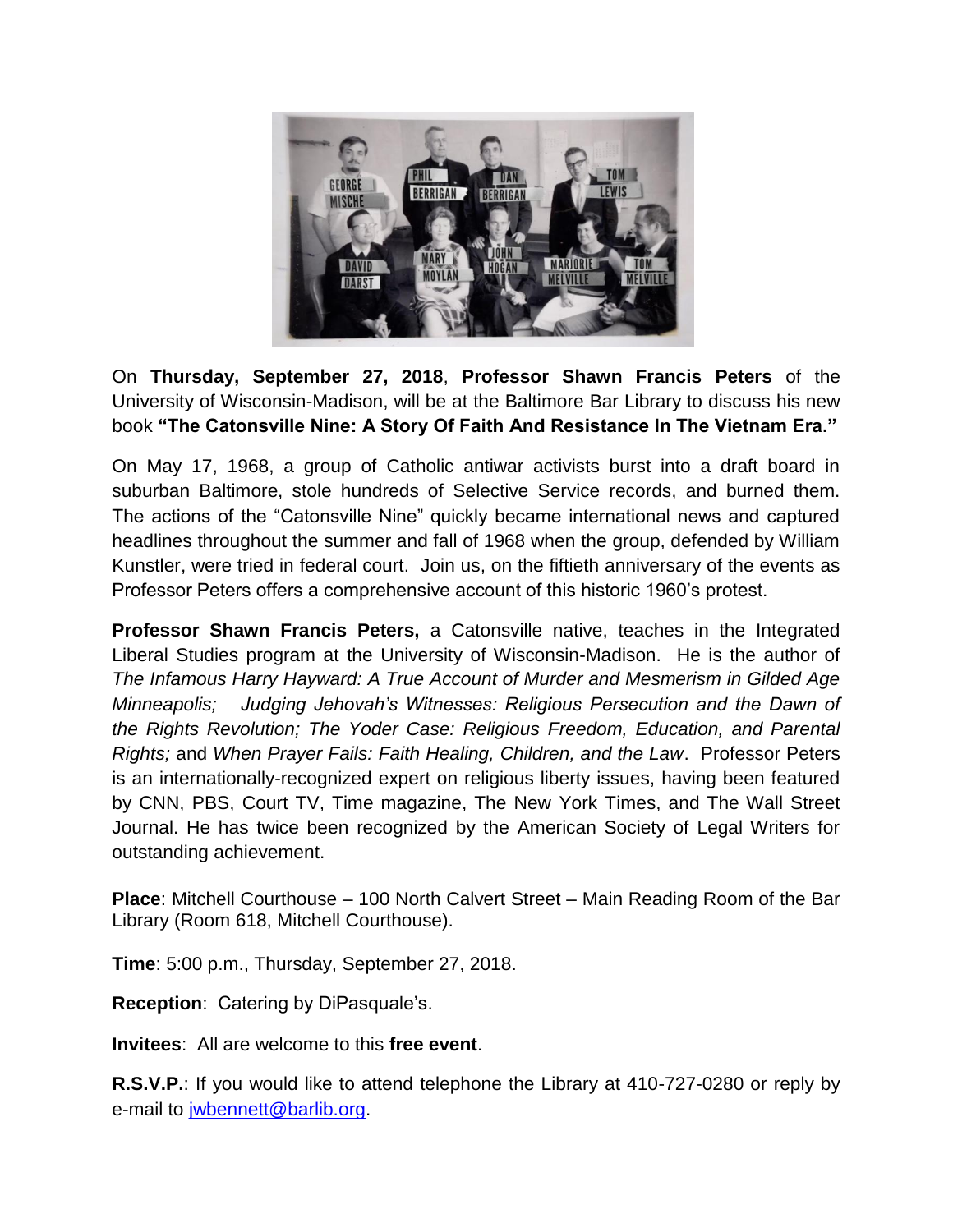

On **Thursday, September 27, 2018**, **Professor Shawn Francis Peters** of the University of Wisconsin-Madison, will be at the Baltimore Bar Library to discuss his new book **"The Catonsville Nine: A Story Of Faith And Resistance In The Vietnam Era."**

On May 17, 1968, a group of Catholic antiwar activists burst into a draft board in suburban Baltimore, stole hundreds of Selective Service records, and burned them. The actions of the "Catonsville Nine" quickly became international news and captured headlines throughout the summer and fall of 1968 when the group, defended by William Kunstler, were tried in federal court. Join us, on the fiftieth anniversary of the events as Professor Peters offers a comprehensive account of this historic 1960's protest.

**Professor Shawn Francis Peters,** a Catonsville native, teaches in the Integrated Liberal Studies program at the University of Wisconsin-Madison. He is the author of *The Infamous Harry Hayward: A True Account of Murder and Mesmerism in Gilded Age Minneapolis; Judging Jehovah's Witnesses: Religious Persecution and the Dawn of the Rights Revolution; The Yoder Case: Religious Freedom, Education, and Parental Rights;* and *When Prayer Fails: Faith Healing, Children, and the Law*. Professor Peters is an internationally-recognized expert on religious liberty issues, having been featured by CNN, PBS, Court TV, Time magazine, The New York Times, and The Wall Street Journal. He has twice been recognized by the American Society of Legal Writers for outstanding achievement.

**Place**: Mitchell Courthouse – 100 North Calvert Street – Main Reading Room of the Bar Library (Room 618, Mitchell Courthouse).

**Time**: 5:00 p.m., Thursday, September 27, 2018.

**Reception**: Catering by DiPasquale's.

**Invitees**: All are welcome to this **free event**.

**R.S.V.P.**: If you would like to attend telephone the Library at 410-727-0280 or reply by e-mail to [jwbennett@barlib.org.](mailto:jwbennett@barlib.org)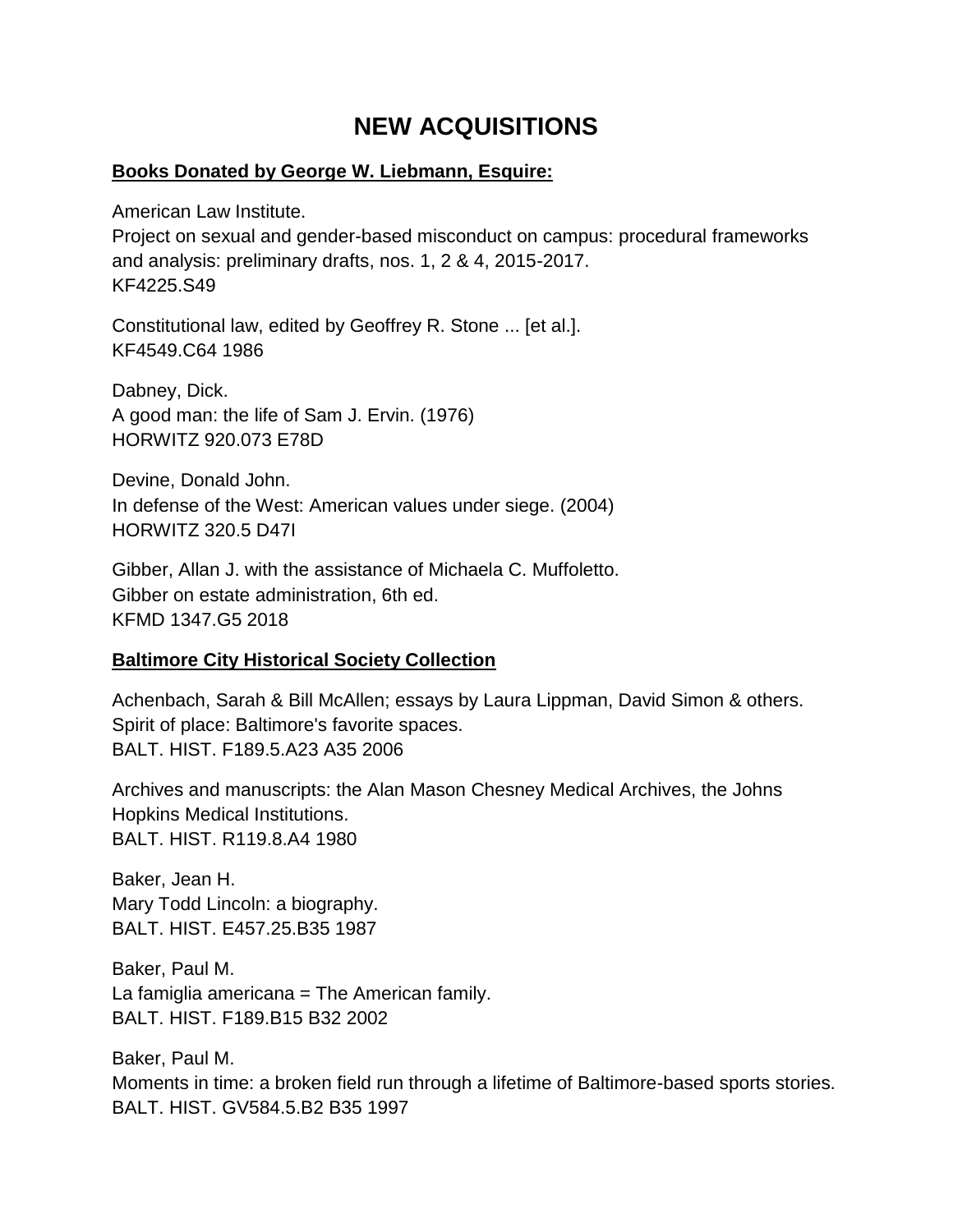# **NEW ACQUISITIONS**

### **Books Donated by George W. Liebmann, Esquire:**

American Law Institute.

Project on sexual and gender-based misconduct on campus: procedural frameworks and analysis: preliminary drafts, nos. 1, 2 & 4, 2015-2017. KF4225.S49

Constitutional law, edited by Geoffrey R. Stone ... [et al.]. KF4549.C64 1986

Dabney, Dick. A good man: the life of Sam J. Ervin. (1976) HORWITZ 920.073 E78D

Devine, Donald John. In defense of the West: American values under siege. (2004) HORWITZ 320.5 D47I

Gibber, Allan J. with the assistance of Michaela C. Muffoletto. Gibber on estate administration, 6th ed. KFMD 1347.G5 2018

### **Baltimore City Historical Society Collection**

Achenbach, Sarah & Bill McAllen; essays by Laura Lippman, David Simon & others. Spirit of place: Baltimore's favorite spaces. BALT. HIST. F189.5.A23 A35 2006

Archives and manuscripts: the Alan Mason Chesney Medical Archives, the Johns Hopkins Medical Institutions. BALT. HIST. R119.8.A4 1980

Baker, Jean H. Mary Todd Lincoln: a biography. BALT. HIST. E457.25.B35 1987

Baker, Paul M. La famiglia americana = The American family. BALT. HIST. F189.B15 B32 2002

Baker, Paul M. Moments in time: a broken field run through a lifetime of Baltimore-based sports stories. BALT. HIST. GV584.5.B2 B35 1997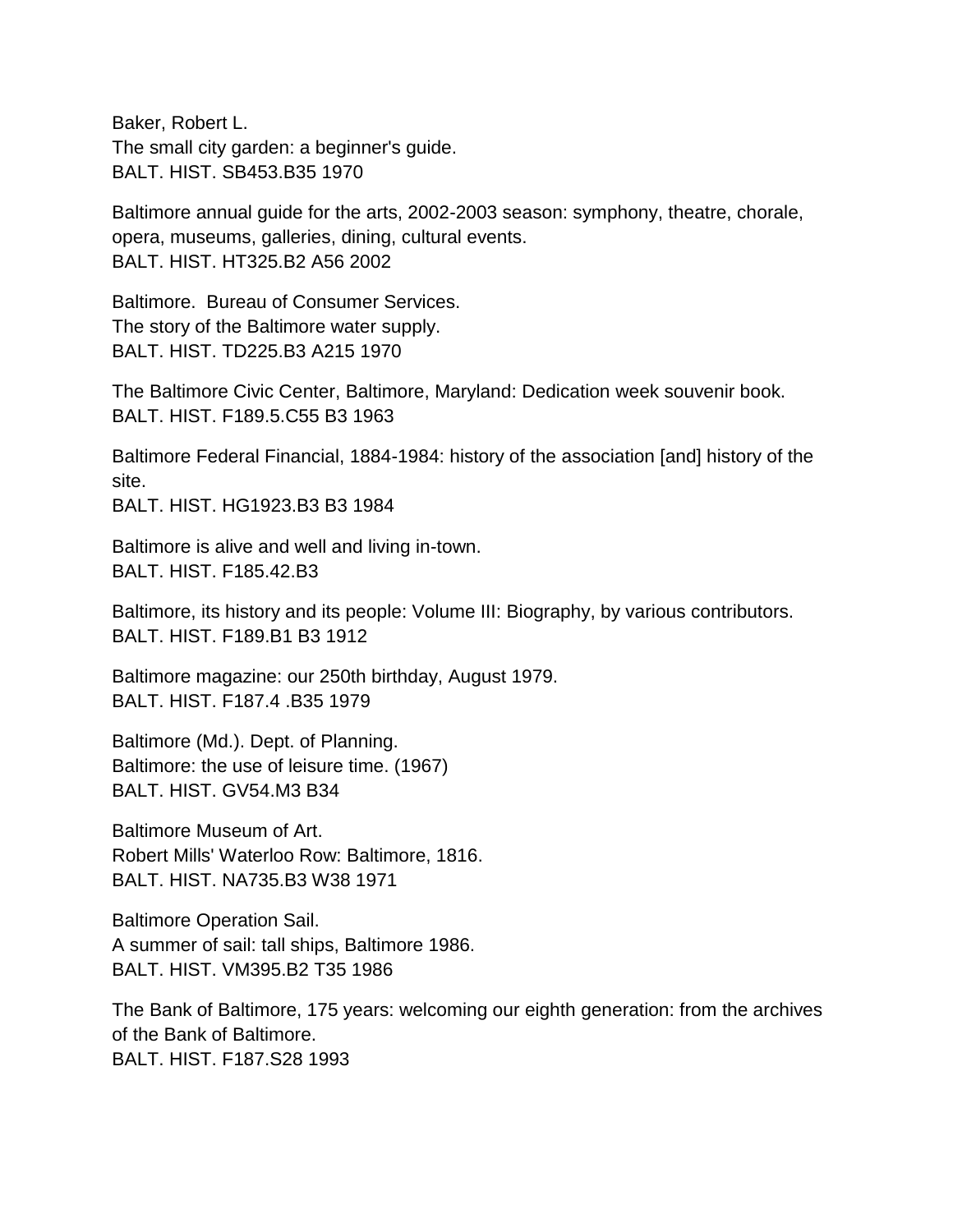Baker, Robert L. The small city garden: a beginner's guide. BALT. HIST. SB453.B35 1970

Baltimore annual guide for the arts, 2002-2003 season: symphony, theatre, chorale, opera, museums, galleries, dining, cultural events. BALT. HIST. HT325.B2 A56 2002

Baltimore. Bureau of Consumer Services. The story of the Baltimore water supply. BALT. HIST. TD225.B3 A215 1970

The Baltimore Civic Center, Baltimore, Maryland: Dedication week souvenir book. BALT. HIST. F189.5.C55 B3 1963

Baltimore Federal Financial, 1884-1984: history of the association [and] history of the site.

BALT. HIST. HG1923.B3 B3 1984

Baltimore is alive and well and living in-town. BALT. HIST. F185.42.B3

Baltimore, its history and its people: Volume III: Biography, by various contributors. BALT. HIST. F189.B1 B3 1912

Baltimore magazine: our 250th birthday, August 1979. BALT. HIST. F187.4 .B35 1979

Baltimore (Md.). Dept. of Planning. Baltimore: the use of leisure time. (1967) BALT. HIST. GV54.M3 B34

Baltimore Museum of Art. Robert Mills' Waterloo Row: Baltimore, 1816. BALT. HIST. NA735.B3 W38 1971

Baltimore Operation Sail. A summer of sail: tall ships, Baltimore 1986. BALT. HIST. VM395.B2 T35 1986

The Bank of Baltimore, 175 years: welcoming our eighth generation: from the archives of the Bank of Baltimore. BALT. HIST. F187.S28 1993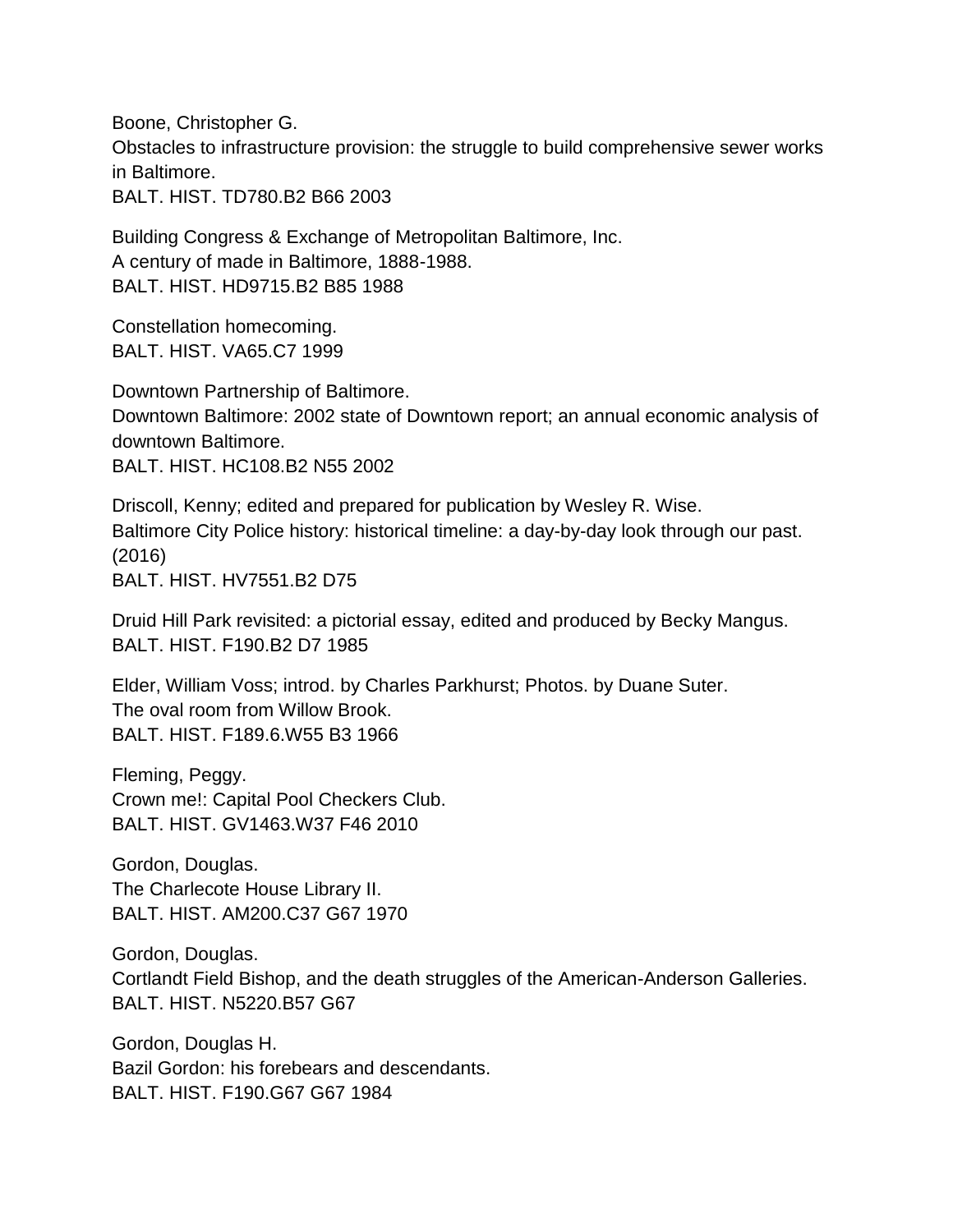Boone, Christopher G. Obstacles to infrastructure provision: the struggle to build comprehensive sewer works in Baltimore. BALT. HIST. TD780.B2 B66 2003

Building Congress & Exchange of Metropolitan Baltimore, Inc. A century of made in Baltimore, 1888-1988. BALT. HIST. HD9715.B2 B85 1988

Constellation homecoming. BALT. HIST. VA65.C7 1999

Downtown Partnership of Baltimore. Downtown Baltimore: 2002 state of Downtown report; an annual economic analysis of downtown Baltimore. BALT. HIST. HC108.B2 N55 2002

Driscoll, Kenny; edited and prepared for publication by Wesley R. Wise. Baltimore City Police history: historical timeline: a day-by-day look through our past. (2016) BALT. HIST. HV7551.B2 D75

Druid Hill Park revisited: a pictorial essay, edited and produced by Becky Mangus. BALT. HIST. F190.B2 D7 1985

Elder, William Voss; introd. by Charles Parkhurst; Photos. by Duane Suter. The oval room from Willow Brook. BALT. HIST. F189.6.W55 B3 1966

Fleming, Peggy. Crown me!: Capital Pool Checkers Club. BALT. HIST. GV1463.W37 F46 2010

Gordon, Douglas. The Charlecote House Library II. BALT. HIST. AM200.C37 G67 1970

Gordon, Douglas. Cortlandt Field Bishop, and the death struggles of the American-Anderson Galleries. BALT. HIST. N5220.B57 G67

Gordon, Douglas H. Bazil Gordon: his forebears and descendants. BALT. HIST. F190.G67 G67 1984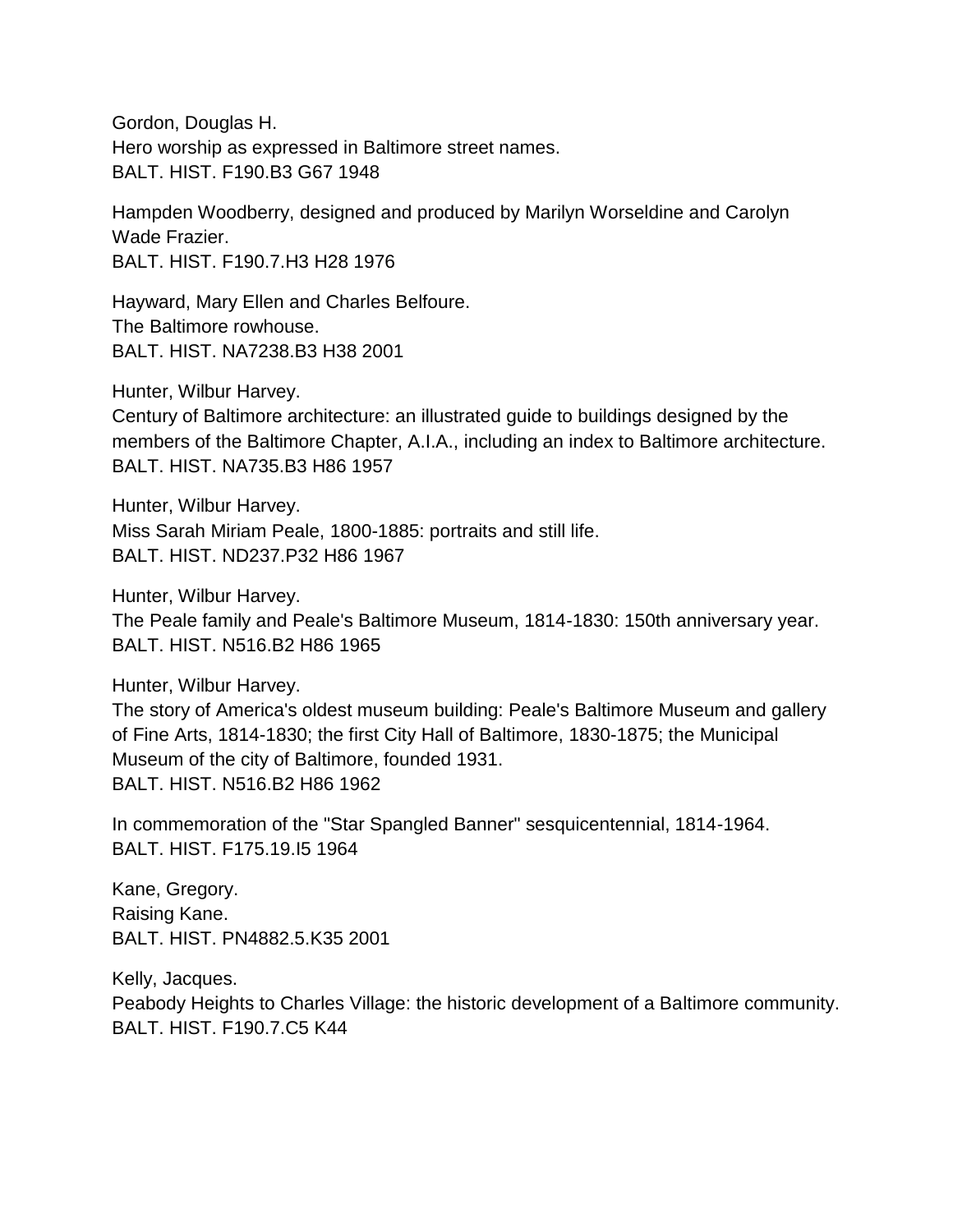Gordon, Douglas H. Hero worship as expressed in Baltimore street names. BALT. HIST. F190.B3 G67 1948

Hampden Woodberry, designed and produced by Marilyn Worseldine and Carolyn Wade Frazier. BALT. HIST. F190.7.H3 H28 1976

Hayward, Mary Ellen and Charles Belfoure. The Baltimore rowhouse. BALT. HIST. NA7238.B3 H38 2001

Hunter, Wilbur Harvey.

Century of Baltimore architecture: an illustrated guide to buildings designed by the members of the Baltimore Chapter, A.I.A., including an index to Baltimore architecture. BALT. HIST. NA735.B3 H86 1957

Hunter, Wilbur Harvey. Miss Sarah Miriam Peale, 1800-1885: portraits and still life. BALT. HIST. ND237.P32 H86 1967

Hunter, Wilbur Harvey.

The Peale family and Peale's Baltimore Museum, 1814-1830: 150th anniversary year. BALT. HIST. N516.B2 H86 1965

Hunter, Wilbur Harvey.

The story of America's oldest museum building: Peale's Baltimore Museum and gallery of Fine Arts, 1814-1830; the first City Hall of Baltimore, 1830-1875; the Municipal Museum of the city of Baltimore, founded 1931. BALT. HIST. N516.B2 H86 1962

In commemoration of the "Star Spangled Banner" sesquicentennial, 1814-1964. BALT. HIST. F175.19.I5 1964

Kane, Gregory. Raising Kane. BALT. HIST. PN4882.5.K35 2001

Kelly, Jacques. Peabody Heights to Charles Village: the historic development of a Baltimore community. BALT. HIST. F190.7.C5 K44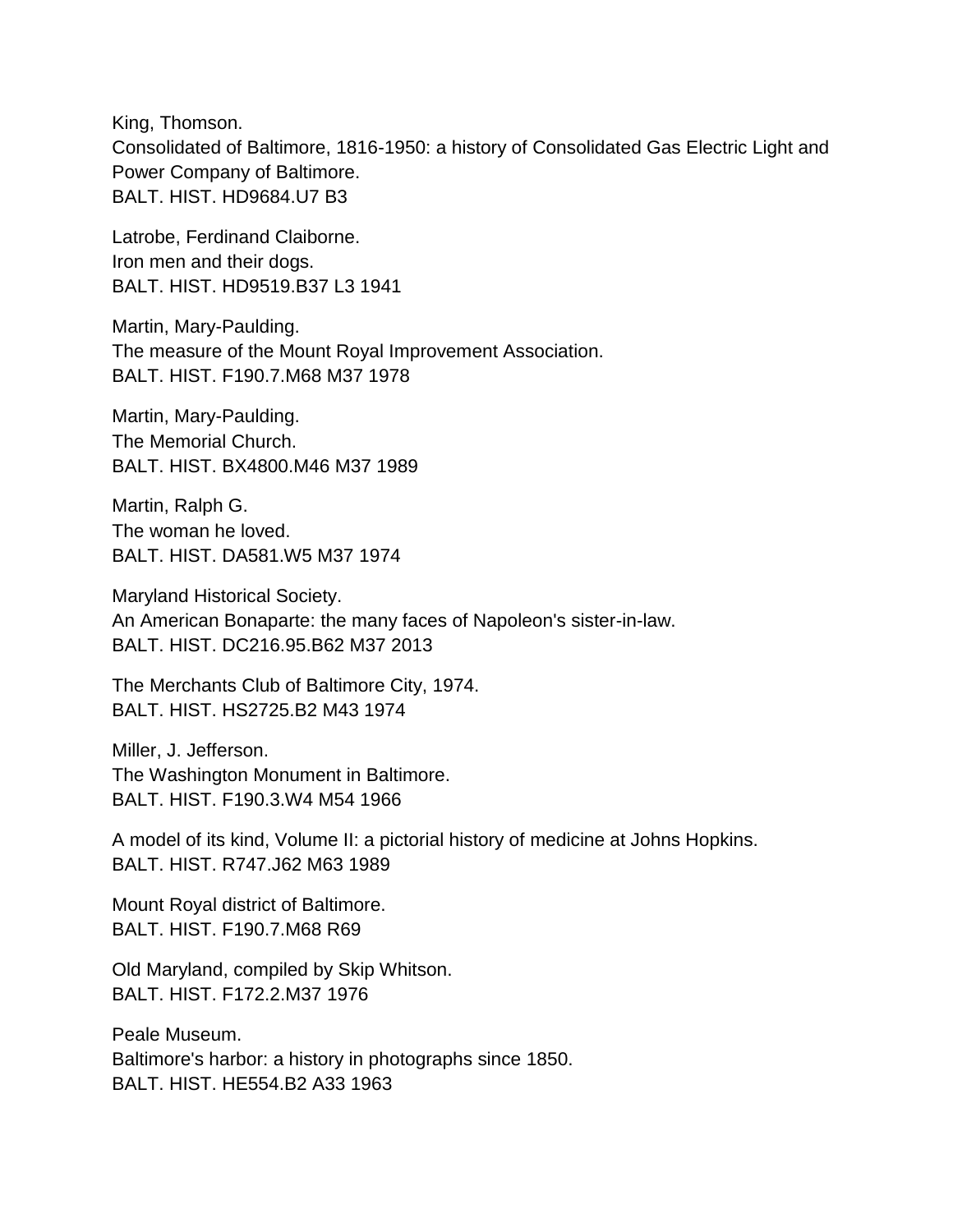King, Thomson. Consolidated of Baltimore, 1816-1950: a history of Consolidated Gas Electric Light and Power Company of Baltimore. BALT. HIST. HD9684.U7 B3

Latrobe, Ferdinand Claiborne. Iron men and their dogs. BALT. HIST. HD9519.B37 L3 1941

Martin, Mary-Paulding. The measure of the Mount Royal Improvement Association. BALT. HIST. F190.7.M68 M37 1978

Martin, Mary-Paulding. The Memorial Church. BALT. HIST. BX4800.M46 M37 1989

Martin, Ralph G. The woman he loved. BALT. HIST. DA581.W5 M37 1974

Maryland Historical Society. An American Bonaparte: the many faces of Napoleon's sister-in-law. BALT. HIST. DC216.95.B62 M37 2013

The Merchants Club of Baltimore City, 1974. BALT. HIST. HS2725.B2 M43 1974

Miller, J. Jefferson. The Washington Monument in Baltimore. BALT. HIST. F190.3.W4 M54 1966

A model of its kind, Volume II: a pictorial history of medicine at Johns Hopkins. BALT. HIST. R747.J62 M63 1989

Mount Royal district of Baltimore. BALT. HIST. F190.7.M68 R69

Old Maryland, compiled by Skip Whitson. BALT. HIST. F172.2.M37 1976

Peale Museum. Baltimore's harbor: a history in photographs since 1850. BALT. HIST. HE554.B2 A33 1963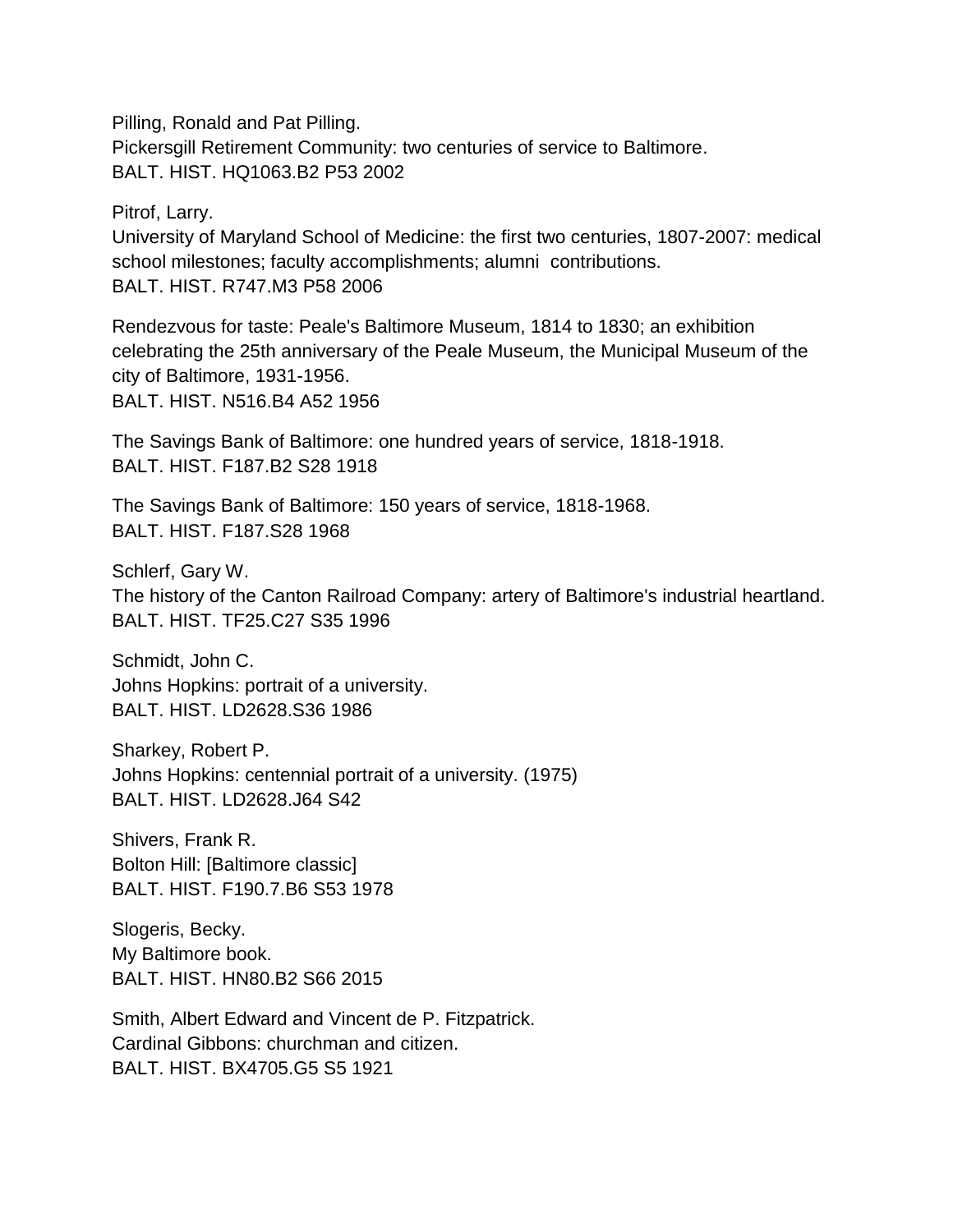Pilling, Ronald and Pat Pilling. Pickersgill Retirement Community: two centuries of service to Baltimore. BALT. HIST. HQ1063.B2 P53 2002

Pitrof, Larry.

University of Maryland School of Medicine: the first two centuries, 1807-2007: medical school milestones; faculty accomplishments; alumni contributions. BALT. HIST. R747.M3 P58 2006

Rendezvous for taste: Peale's Baltimore Museum, 1814 to 1830; an exhibition celebrating the 25th anniversary of the Peale Museum, the Municipal Museum of the city of Baltimore, 1931-1956. BALT. HIST. N516.B4 A52 1956

The Savings Bank of Baltimore: one hundred years of service, 1818-1918. BALT. HIST. F187.B2 S28 1918

The Savings Bank of Baltimore: 150 years of service, 1818-1968. BALT. HIST. F187.S28 1968

Schlerf, Gary W. The history of the Canton Railroad Company: artery of Baltimore's industrial heartland. BALT. HIST. TF25.C27 S35 1996

Schmidt, John C. Johns Hopkins: portrait of a university. BALT. HIST. LD2628.S36 1986

Sharkey, Robert P. Johns Hopkins: centennial portrait of a university. (1975) BALT. HIST. LD2628.J64 S42

Shivers, Frank R. Bolton Hill: [Baltimore classic] BALT. HIST. F190.7.B6 S53 1978

Slogeris, Becky. My Baltimore book. BALT. HIST. HN80.B2 S66 2015

Smith, Albert Edward and Vincent de P. Fitzpatrick. Cardinal Gibbons: churchman and citizen. BALT. HIST. BX4705.G5 S5 1921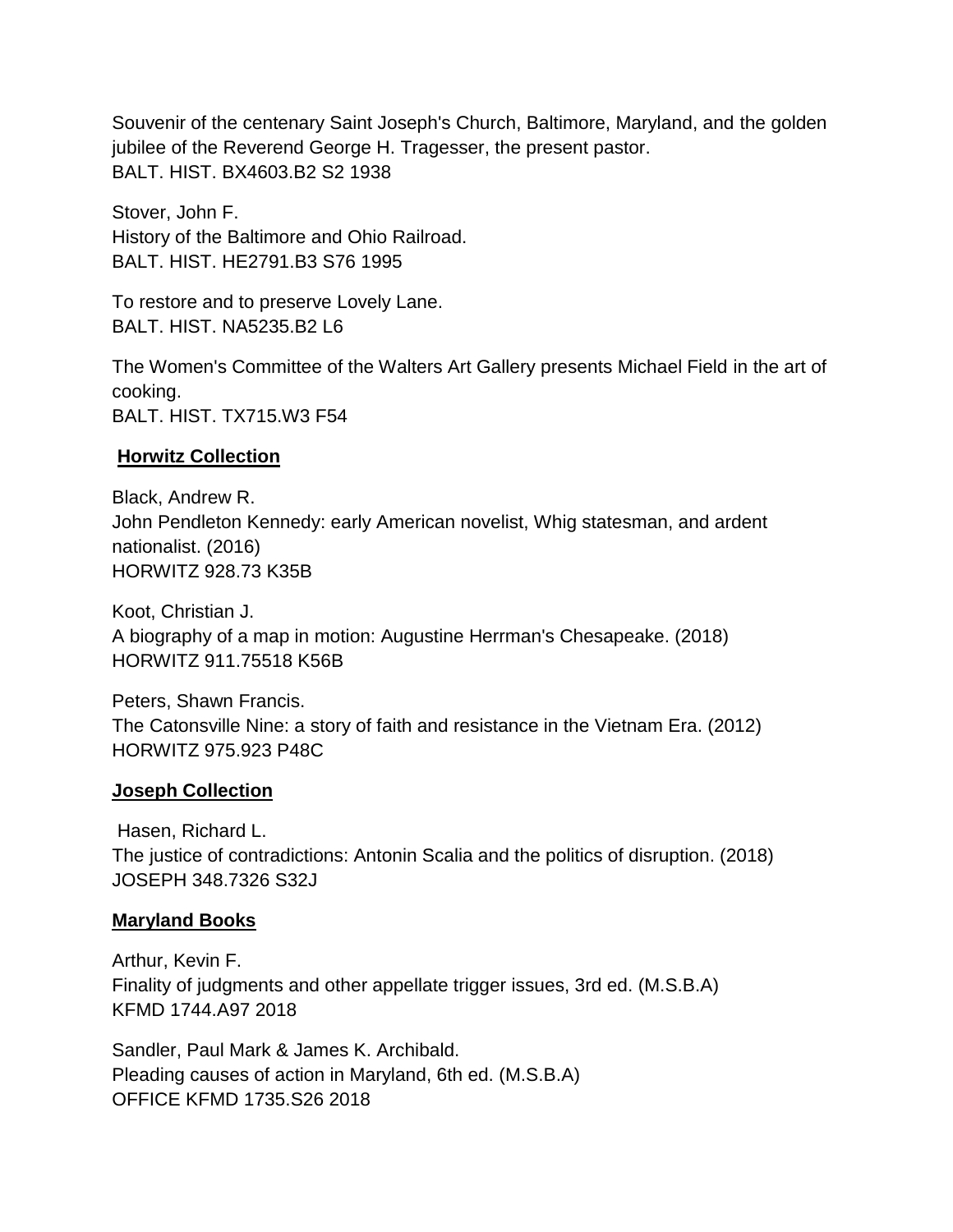Souvenir of the centenary Saint Joseph's Church, Baltimore, Maryland, and the golden jubilee of the Reverend George H. Tragesser, the present pastor. BALT. HIST. BX4603.B2 S2 1938

Stover, John F. History of the Baltimore and Ohio Railroad. BALT. HIST. HE2791.B3 S76 1995

To restore and to preserve Lovely Lane. BALT. HIST. NA5235.B2 L6

The Women's Committee of the Walters Art Gallery presents Michael Field in the art of cooking. BALT. HIST. TX715.W3 F54

### **Horwitz Collection**

Black, Andrew R. John Pendleton Kennedy: early American novelist, Whig statesman, and ardent nationalist. (2016) HORWITZ 928.73 K35B

Koot, Christian J. A biography of a map in motion: Augustine Herrman's Chesapeake. (2018) HORWITZ 911.75518 K56B

Peters, Shawn Francis. The Catonsville Nine: a story of faith and resistance in the Vietnam Era. (2012) HORWITZ 975.923 P48C

### **Joseph Collection**

Hasen, Richard L. The justice of contradictions: Antonin Scalia and the politics of disruption. (2018) JOSEPH 348.7326 S32J

### **Maryland Books**

Arthur, Kevin F. Finality of judgments and other appellate trigger issues, 3rd ed. (M.S.B.A) KFMD 1744.A97 2018

Sandler, Paul Mark & James K. Archibald. Pleading causes of action in Maryland, 6th ed. (M.S.B.A) OFFICE KFMD 1735.S26 2018